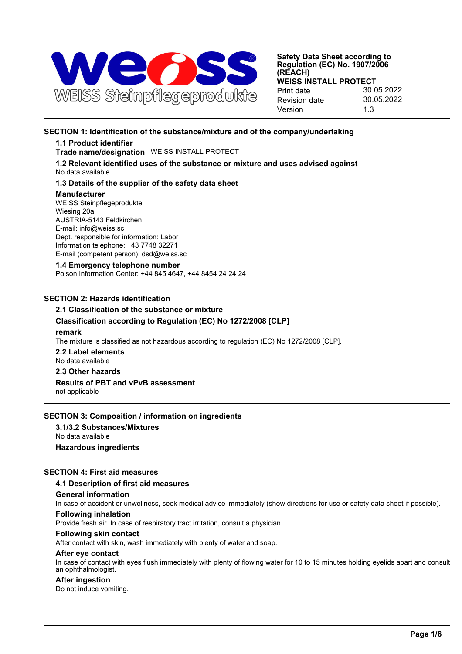

## **SECTION 1: Identification of the substance/mixture and of the company/undertaking**

## **1.1 Product identifier**

**Trade name/designation** WEISS INSTALL PROTECT

**1.2 Relevant identified uses of the substance or mixture and uses advised against** No data available

### **1.3 Details of the supplier of the safety data sheet**

#### **Manufacturer**

WEISS Steinpflegeprodukte Wiesing 20a AUSTRIA-5143 Feldkirchen E-mail: info@weiss.sc Dept. responsible for information: Labor Information telephone: +43 7748 32271 E-mail (competent person): dsd@weiss.sc

## **1.4 Emergency telephone number**

Poison Information Center: +44 845 4647, +44 8454 24 24 24

## **SECTION 2: Hazards identification**

# **2.1 Classification of the substance or mixture**

## **Classification according to Regulation (EC) No 1272/2008 [CLP]**

#### **remark**

The mixture is classified as not hazardous according to regulation (EC) No 1272/2008 [CLP].

**2.2 Label elements** No data available

### **2.3 Other hazards**

## **Results of PBT and vPvB assessment**

not applicable

## **SECTION 3: Composition / information on ingredients**

**3.1/3.2 Substances/Mixtures** No data available **Hazardous ingredients**

## **SECTION 4: First aid measures**

### **4.1 Description of first aid measures**

### **General information**

In case of accident or unwellness, seek medical advice immediately (show directions for use or safety data sheet if possible).

## **Following inhalation**

Provide fresh air. In case of respiratory tract irritation, consult a physician.

### **Following skin contact**

After contact with skin, wash immediately with plenty of water and soap.

#### **After eye contact**

In case of contact with eyes flush immediately with plenty of flowing water for 10 to 15 minutes holding eyelids apart and consult an ophthalmologist.

### **After ingestion**

Do not induce vomiting.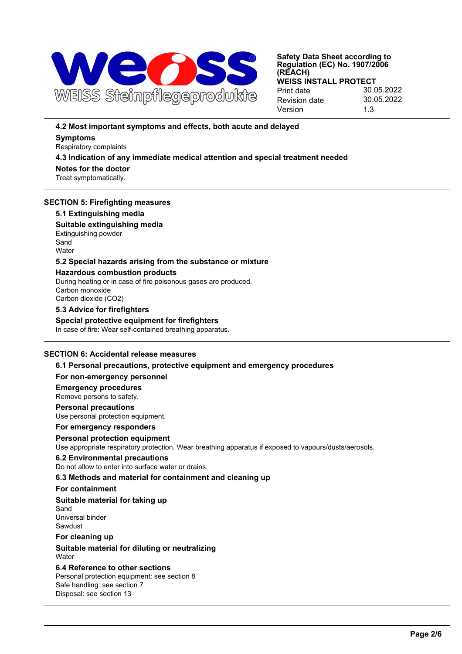

## **4.2 Most important symptoms and effects, both acute and delayed**

# **Symptoms**

Respiratory complaints

## **4.3 Indication of any immediate medical attention and special treatment needed**

**Notes for the doctor** Treat symptomatically.

## **SECTION 5: Firefighting measures**

## **5.1 Extinguishing media**

**Suitable extinguishing media** Extinguishing powder **Sand Water** 

## **5.2 Special hazards arising from the substance or mixture**

## **Hazardous combustion products**

During heating or in case of fire poisonous gases are produced. Carbon monoxide Carbon dioxide (CO2)

## **5.3 Advice for firefighters**

**Special protective equipment for firefighters** In case of fire: Wear self-contained breathing apparatus.

## **SECTION 6: Accidental release measures**

**6.1 Personal precautions, protective equipment and emergency procedures**

## **For non-emergency personnel**

## **Emergency procedures**

Remove persons to safety.

## **Personal precautions**

Use personal protection equipment.

## **For emergency responders**

# **Personal protection equipment**

Use appropriate respiratory protection. Wear breathing apparatus if exposed to vapours/dusts/aerosols.

## **6.2 Environmental precautions**

Do not allow to enter into surface water or drains.

## **6.3 Methods and material for containment and cleaning up**

## **For containment**

# **Suitable material for taking up**

Sand Universal binder Sawdust

## **For cleaning up**

## **Suitable material for diluting or neutralizing Water**

#### **6.4 Reference to other sections** Personal protection equipment: see section 8 Safe handling: see section 7 Disposal: see section 13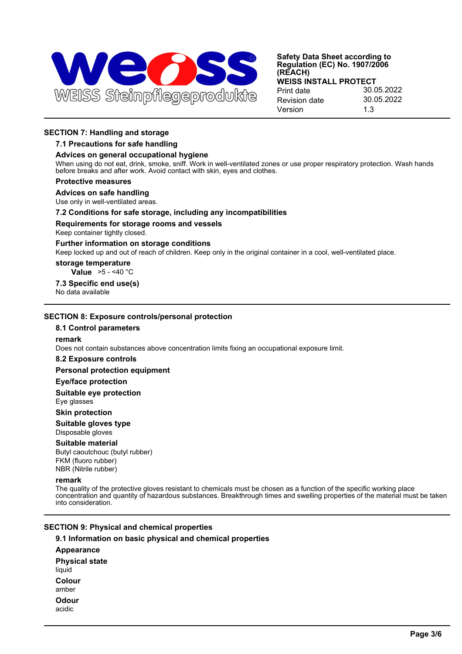

## **SECTION 7: Handling and storage**

#### **7.1 Precautions for safe handling**

#### **Advices on general occupational hygiene**

When using do not eat, drink, smoke, sniff. Work in well-ventilated zones or use proper respiratory protection. Wash hands before breaks and after work. Avoid contact with skin, eyes and clothes.

#### **Protective measures**

### **Advices on safe handling**

Use only in well-ventilated areas.

#### **7.2 Conditions for safe storage, including any incompatibilities**

#### **Requirements for storage rooms and vessels**

Keep container tightly closed.

#### **Further information on storage conditions**

Keep locked up and out of reach of children. Keep only in the original container in a cool, well-ventilated place.

#### **storage temperature**

**Value** >5 - <40 °C

## **7.3 Specific end use(s)**

No data available

### **SECTION 8: Exposure controls/personal protection**

### **8.1 Control parameters**

#### **remark**

Does not contain substances above concentration limits fixing an occupational exposure limit.

#### **8.2 Exposure controls**

#### **Personal protection equipment**

#### **Eye/face protection**

**Suitable eye protection**

## Eye glasses

## **Skin protection**

#### **Suitable gloves type** Disposable gloves

# **Suitable material**

Butyl caoutchouc (butyl rubber) FKM (fluoro rubber) NBR (Nitrile rubber)

## **remark**

The quality of the protective gloves resistant to chemicals must be chosen as a function of the specific working place concentration and quantity of hazardous substances. Breakthrough times and swelling properties of the material must be taken into consideration.

## **SECTION 9: Physical and chemical properties**

### **9.1 Information on basic physical and chemical properties**

**Appearance Physical state** liquid **Colour** amber **Odour** acidic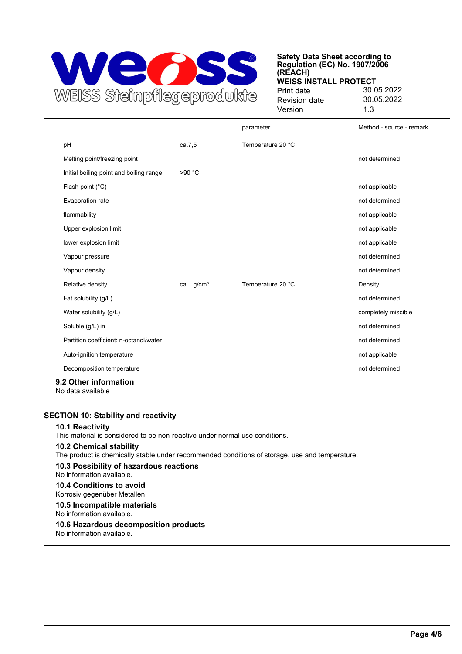

|                                            |              | parameter         | Method - source - remark |
|--------------------------------------------|--------------|-------------------|--------------------------|
| pH                                         | ca.7,5       | Temperature 20 °C |                          |
| Melting point/freezing point               |              |                   | not determined           |
| Initial boiling point and boiling range    | >90 °C       |                   |                          |
| Flash point (°C)                           |              |                   | not applicable           |
| Evaporation rate                           |              |                   | not determined           |
| flammability                               |              |                   | not applicable           |
| Upper explosion limit                      |              |                   | not applicable           |
| lower explosion limit                      |              |                   | not applicable           |
| Vapour pressure                            |              |                   | not determined           |
| Vapour density                             |              |                   | not determined           |
| Relative density                           | ca.1 $q/cm3$ | Temperature 20 °C | Density                  |
| Fat solubility (g/L)                       |              |                   | not determined           |
| Water solubility (g/L)                     |              |                   | completely miscible      |
| Soluble (g/L) in                           |              |                   | not determined           |
| Partition coefficient: n-octanol/water     |              |                   | not determined           |
| Auto-ignition temperature                  |              |                   | not applicable           |
| Decomposition temperature                  |              |                   | not determined           |
| 9.2 Other information<br>No data available |              |                   |                          |

## **SECTION 10: Stability and reactivity**

#### **10.1 Reactivity**

This material is considered to be non-reactive under normal use conditions.

## **10.2 Chemical stability**

The product is chemically stable under recommended conditions of storage, use and temperature.

**10.3 Possibility of hazardous reactions** No information available.

#### **10.4 Conditions to avoid** Korrosiv gegenüber Metallen

**10.5 Incompatible materials**

No information available.

### **10.6 Hazardous decomposition products**

No information available.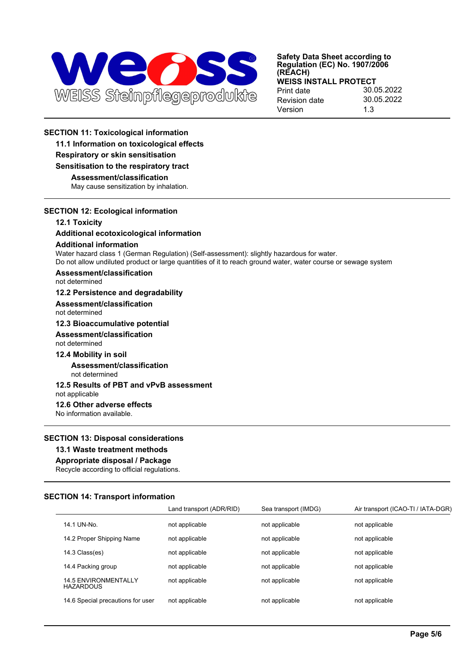

## **SECTION 11: Toxicological information**

**11.1 Information on toxicological effects**

## **Respiratory or skin sensitisation**

#### **Sensitisation to the respiratory tract**

**Assessment/classification**

May cause sensitization by inhalation.

## **SECTION 12: Ecological information**

## **12.1 Toxicity**

## **Additional ecotoxicological information**

### **Additional information**

Water hazard class 1 (German Regulation) (Self-assessment): slightly hazardous for water. Do not allow undiluted product or large quantities of it to reach ground water, water course or sewage system

## **Assessment/classification**

not determined

## **12.2 Persistence and degradability**

**Assessment/classification** not determined

**12.3 Bioaccumulative potential**

# **Assessment/classification**

not determined

### **12.4 Mobility in soil**

**Assessment/classification** not determined

## **12.5 Results of PBT and vPvB assessment**

not applicable

## **12.6 Other adverse effects**

No information available.

### **SECTION 13: Disposal considerations**

## **13.1 Waste treatment methods**

## **Appropriate disposal / Package**

Recycle according to official regulations.

### **SECTION 14: Transport information**

|                                                 | Land transport (ADR/RID) | Sea transport (IMDG) | Air transport (ICAO-TI / IATA-DGR) |
|-------------------------------------------------|--------------------------|----------------------|------------------------------------|
| 14.1 UN-No.                                     | not applicable           | not applicable       | not applicable                     |
| 14.2 Proper Shipping Name                       | not applicable           | not applicable       | not applicable                     |
| 14.3 Class(es)                                  | not applicable           | not applicable       | not applicable                     |
| 14.4 Packing group                              | not applicable           | not applicable       | not applicable                     |
| <b>14.5 ENVIRONMENTALLY</b><br><b>HAZARDOUS</b> | not applicable           | not applicable       | not applicable                     |
| 14.6 Special precautions for user               | not applicable           | not applicable       | not applicable                     |